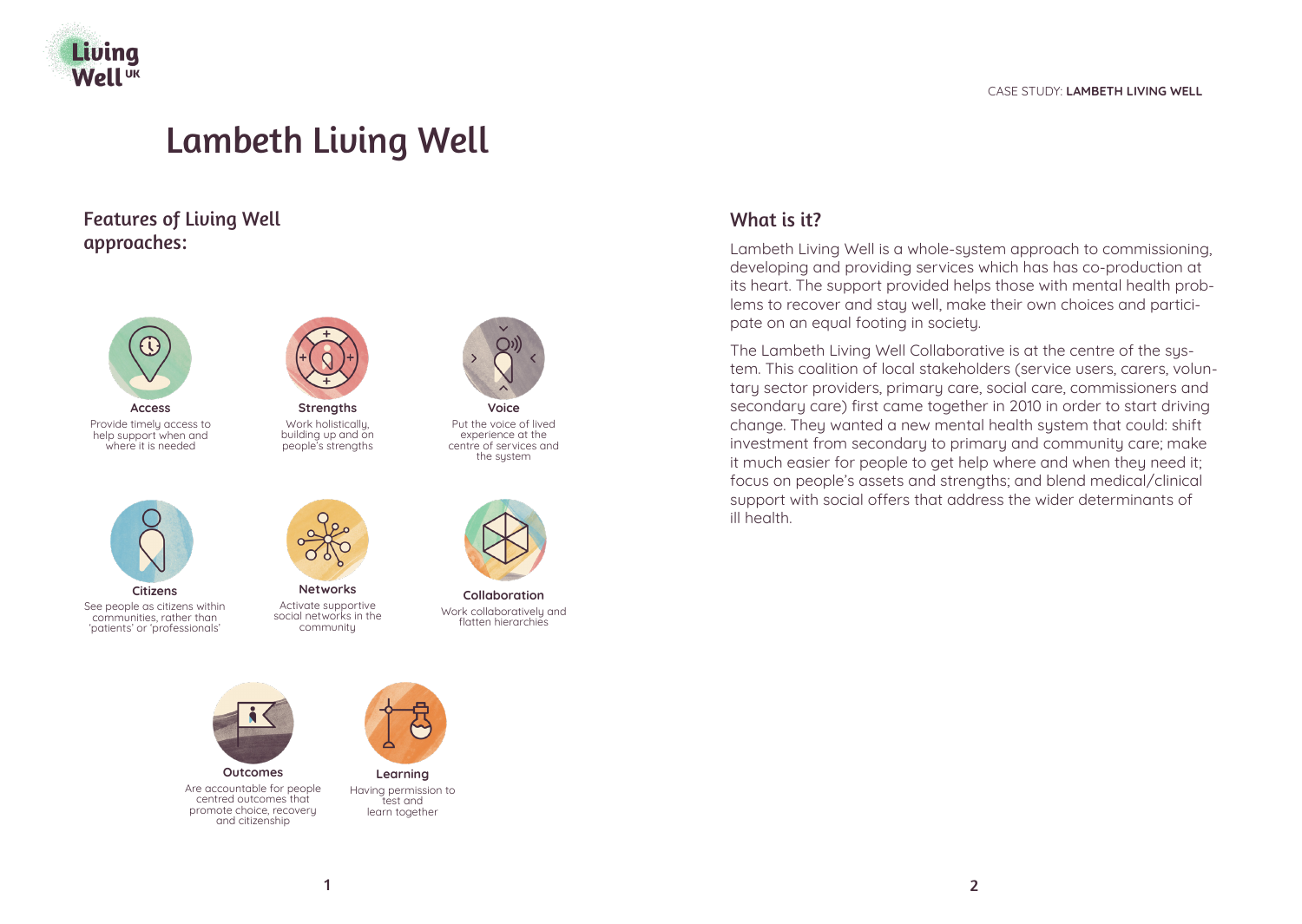

# Lambeth Living Well

Features of Living Well approaches:



**Access** Provide timely access to help support when and where it is needed



**Strengths** Work holistically, building up and on people's strengths



Put the voice of lived experience at the centre of services and the system



**Citizens** See people as citizens within communities, rather than 'patients' or 'professionals'

**Networks**

Activate supportive social networks in the community



**Collaboration** Work collaboratively and flatten hierarchies



Are accountable for people centred outcomes that promote choice, recovery and citizenship



**Learning** Having permission to test and learn together

# What is it?

Lambeth Living Well is a whole-system approach to commissioning, developing and providing services which has has co-production at its heart. The support provided helps those with mental health problems to recover and stay well, make their own choices and participate on an equal footing in society.

The Lambeth Living Well Collaborative is at the centre of the system. This coalition of local stakeholders (service users, carers, voluntary sector providers, primary care, social care, commissioners and secondary care) first came together in 2010 in order to start driving change. They wanted a new mental health system that could: shift investment from secondary to primary and community care; make it much easier for people to get help where and when they need it; focus on people's assets and strengths; and blend medical/clinical support with social offers that address the wider determinants of ill health.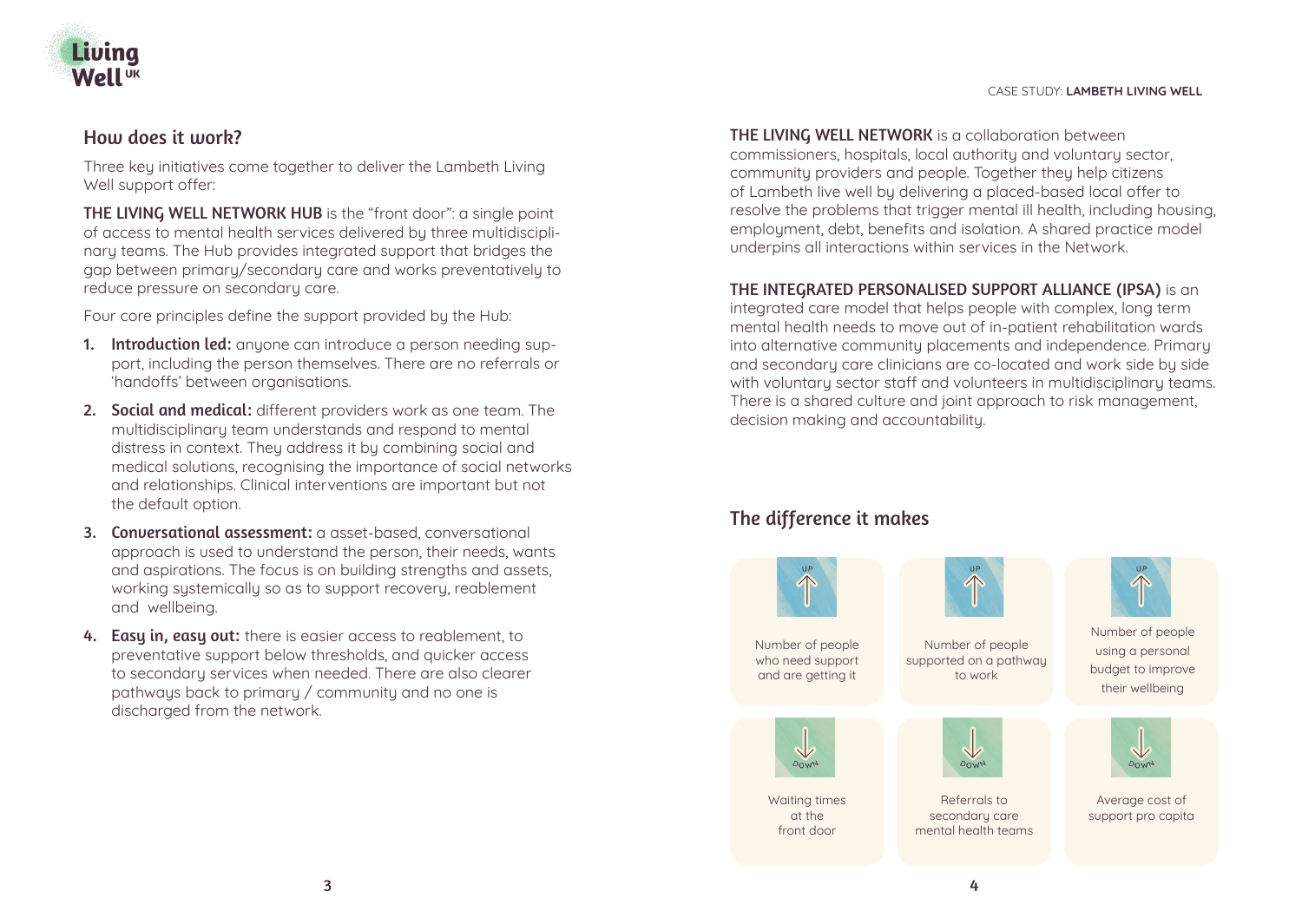



## How does it work?

Three key initiatives come together to deliver the Lambeth Living Well support offer:

THE LIVING WELL NETWORK HUB is the "front door": a single point of access to mental health services delivered by three multidisciplinary teams. The Hub provides integrated support that bridges the gap between primary/secondary care and works preventatively to reduce pressure on secondary care.

Four core principles define the support provided by the Hub:

- 1. Introduction led: anyone can introduce a person needing support, including the person themselves. There are no referrals or 'handoffs' between organisations.
- 2. Social and medical: different providers work as one team. The multidisciplinary team understands and respond to mental distress in context. They address it by combining social and medical solutions, recognising the importance of social networks and relationships. Clinical interventions are important but not the default option.
- 3. Conversational assessment: a asset-based, conversational approach is used to understand the person, their needs, wants and aspirations. The focus is on building strengths and assets, working systemically so as to support recovery, reablement and wellbeing.
- 4. Easy in, easy out: there is easier access to reablement, to preventative support below thresholds, and quicker access to secondary services when needed. There are also clearer pathways back to primary / community and no one is discharged from the network.

THE LIVING WELL NETWORK is a collaboration between commissioners, hospitals, local authority and voluntary sector, community providers and people. Together they help citizens of Lambeth live well by delivering a placed-based local offer to resolve the problems that trigger mental ill health, including housing, employment, debt, benefits and isolation. A shared practice model underpins all interactions within services in the Network.

## THE INTEGRATED PERSONALISED SUPPORT ALLIANCE (IPSA) is an

integrated care model that helps people with complex, long term mental health needs to move out of in-patient rehabilitation wards into alternative community placements and independence. Primary and secondary care clinicians are co-located and work side by side with voluntary sector staff and volunteers in multidisciplinary teams. There is a shared culture and joint approach to risk management, decision making and accountability.

# The difference it makes